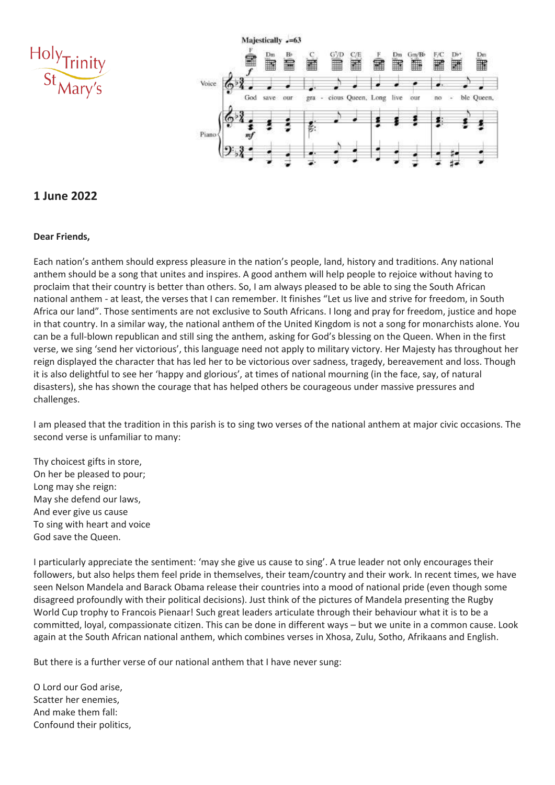



## **1 June 2022**

#### **Dear Friends,**

Each nation's anthem should express pleasure in the nation's people, land, history and traditions. Any national anthem should be a song that unites and inspires. A good anthem will help people to rejoice without having to proclaim that their country is better than others. So, I am always pleased to be able to sing the South African national anthem - at least, the verses that I can remember. It finishes "Let us live and strive for freedom, in South Africa our land". Those sentiments are not exclusive to South Africans. I long and pray for freedom, justice and hope in that country. In a similar way, the national anthem of the United Kingdom is not a song for monarchists alone. You can be a full-blown republican and still sing the anthem, asking for God's blessing on the Queen. When in the first verse, we sing 'send her victorious', this language need not apply to military victory. Her Majesty has throughout her reign displayed the character that has led her to be victorious over sadness, tragedy, bereavement and loss. Though it is also delightful to see her 'happy and glorious', at times of national mourning (in the face, say, of natural disasters), she has shown the courage that has helped others be courageous under massive pressures and challenges.

I am pleased that the tradition in this parish is to sing two verses of the national anthem at major civic occasions. The second verse is unfamiliar to many:

Thy choicest gifts in store, On her be pleased to pour; Long may she reign: May she defend our laws, And ever give us cause To sing with heart and voice God save the Queen.

I particularly appreciate the sentiment: 'may she give us cause to sing'. A true leader not only encourages their followers, but also helps them feel pride in themselves, their team/country and their work. In recent times, we have seen Nelson Mandela and Barack Obama release their countries into a mood of national pride (even though some disagreed profoundly with their political decisions). Just think of the pictures of Mandela presenting the Rugby World Cup trophy to Francois Pienaar! Such great leaders articulate through their behaviour what it is to be a committed, loyal, compassionate citizen. This can be done in different ways – but we unite in a common cause. Look again at the South African national anthem, which combines verses in Xhosa, Zulu, Sotho, Afrikaans and English.

But there is a further verse of our national anthem that I have never sung:

O Lord our God arise, Scatter her enemies, And make them fall: Confound their politics,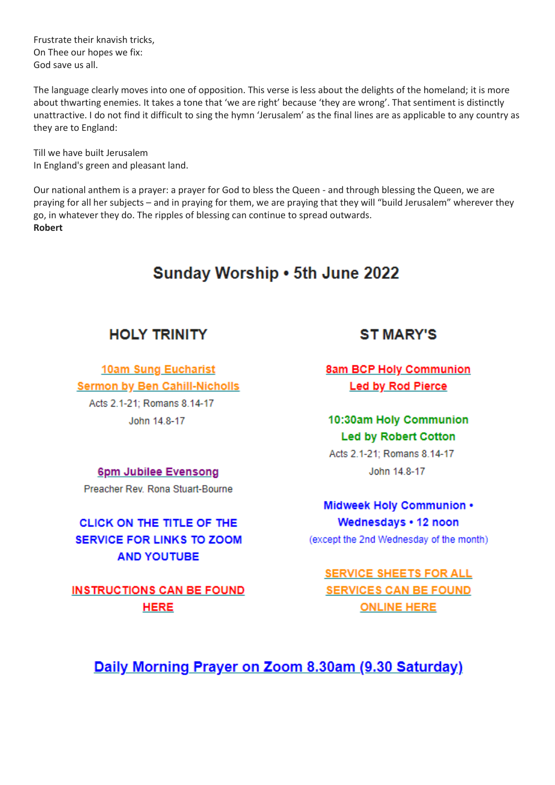Frustrate their knavish tricks, On Thee our hopes we fix: God save us all.

The language clearly moves into one of opposition. This verse is less about the delights of the homeland; it is more about thwarting enemies. It takes a tone that 'we are right' because 'they are wrong'. That sentiment is distinctly unattractive. I do not find it difficult to sing the hymn 'Jerusalem' as the final lines are as applicable to any country as they are to England:

Till we have built lerusalem In England's green and pleasant land.

Our national anthem is a prayer: a prayer for God to bless the Queen - and through blessing the Queen, we are praying for all her subjects - and in praying for them, we are praying that they will "build Jerusalem" wherever they go, in whatever they do. The ripples of blessing can continue to spread outwards. **Robert** 

# Sunday Worship . 5th June 2022

## **HOLY TRINITY**

**10am Sung Eucharist Sermon by Ben Cahill-Nicholls** Acts 2.1-21: Romans 8.14-17 John 14.8-17

# **ST MARY'S**

**8am BCP Holy Communion Led by Rod Pierce** 

10:30am Holy Communion **Led by Robert Cotton** 

Acts 2.1-21: Romans 8.14-17 John 14.8-17

# Midweek Holy Communion . Wednesdays . 12 noon

(except the 2nd Wednesday of the month)

**SERVICE SHEETS FOR ALL SERVICES CAN BE FOUND ONLINE HERE** 

Daily Morning Prayer on Zoom 8.30am (9.30 Saturday)

6pm Jubilee Evensong

Preacher Rev. Rona Stuart-Bourne

CLICK ON THE TITLE OF THE **SERVICE FOR LINKS TO ZOOM AND YOUTUBE** 

**INSTRUCTIONS CAN BE FOUND HERE**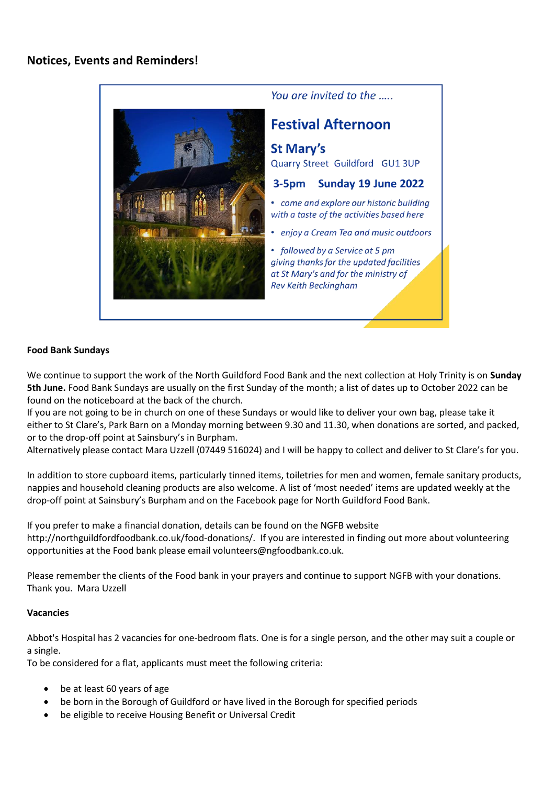

### **Food Bank Sundays**

We continue to support the work of the North Guildford Food Bank and the next collection at Holy Trinity is on **Sunday 5th June.** Food Bank Sundays are usually on the first Sunday of the month; a list of dates up to October 2022 can be found on the noticeboard at the back of the church.

If you are not going to be in church on one of these Sundays or would like to deliver your own bag, please take it either to St Clare's, Park Barn on a Monday morning between 9.30 and 11.30, when donations are sorted, and packed, or to the drop-off point at Sainsbury's in Burpham.

Alternatively please contact Mara Uzzell (07449 516024) and I will be happy to collect and deliver to St Clare's for you.

In addition to store cupboard items, particularly tinned items, toiletries for men and women, female sanitary products, nappies and household cleaning products are also welcome. A list of 'most needed' items are updated weekly at the drop-off point at Sainsbury's Burpham and on the Facebook page for North Guildford Food Bank.

If you prefer to make a financial donation, details can be found on the NGFB website http://northguildfordfoodbank.co.uk/food-donations/. If you are interested in finding out more about volunteering opportunities at the Food bank please email volunteers@ngfoodbank.co.uk.

Please remember the clients of the Food bank in your prayers and continue to support NGFB with your donations. Thank you. Mara Uzzell

### **Vacancies**

Abbot's Hospital has 2 vacancies for one-bedroom flats. One is for a single person, and the other may suit a couple or a single.

To be considered for a flat, applicants must meet the following criteria:

- be at least 60 years of age
- be born in the Borough of Guildford or have lived in the Borough for specified periods
- be eligible to receive Housing Benefit or Universal Credit